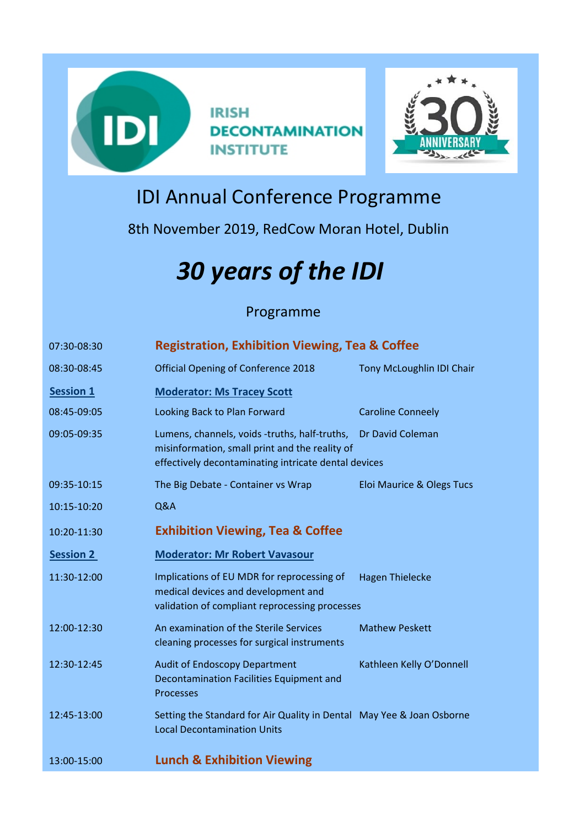



## IDI Annual Conference Programme

8th November 2019, RedCow Moran Hotel, Dublin

## *30 years of the IDI*

## Programme

| 07:30-08:30      | <b>Registration, Exhibition Viewing, Tea &amp; Coffee</b>                                                                                                                   |                           |  |
|------------------|-----------------------------------------------------------------------------------------------------------------------------------------------------------------------------|---------------------------|--|
| 08:30-08:45      | <b>Official Opening of Conference 2018</b>                                                                                                                                  | Tony McLoughlin IDI Chair |  |
| <b>Session 1</b> | <b>Moderator: Ms Tracey Scott</b>                                                                                                                                           |                           |  |
| 08:45-09:05      | Looking Back to Plan Forward                                                                                                                                                | <b>Caroline Conneely</b>  |  |
| 09:05-09:35      | Lumens, channels, voids -truths, half-truths,<br>Dr David Coleman<br>misinformation, small print and the reality of<br>effectively decontaminating intricate dental devices |                           |  |
| 09:35-10:15      | The Big Debate - Container vs Wrap                                                                                                                                          | Eloi Maurice & Olegs Tucs |  |
| 10:15-10:20      | Q&A                                                                                                                                                                         |                           |  |
| 10:20-11:30      | <b>Exhibition Viewing, Tea &amp; Coffee</b>                                                                                                                                 |                           |  |
| <b>Session 2</b> | <b>Moderator: Mr Robert Vavasour</b>                                                                                                                                        |                           |  |
| 11:30-12:00      | Implications of EU MDR for reprocessing of<br>medical devices and development and<br>validation of compliant reprocessing processes                                         | <b>Hagen Thielecke</b>    |  |
| 12:00-12:30      | An examination of the Sterile Services<br>cleaning processes for surgical instruments                                                                                       | <b>Mathew Peskett</b>     |  |
| 12:30-12:45      | <b>Audit of Endoscopy Department</b><br>Decontamination Facilities Equipment and<br><b>Processes</b>                                                                        | Kathleen Kelly O'Donnell  |  |
| 12:45-13:00      | Setting the Standard for Air Quality in Dental May Yee & Joan Osborne<br><b>Local Decontamination Units</b>                                                                 |                           |  |
| 13:00-15:00      | <b>Lunch &amp; Exhibition Viewing</b>                                                                                                                                       |                           |  |